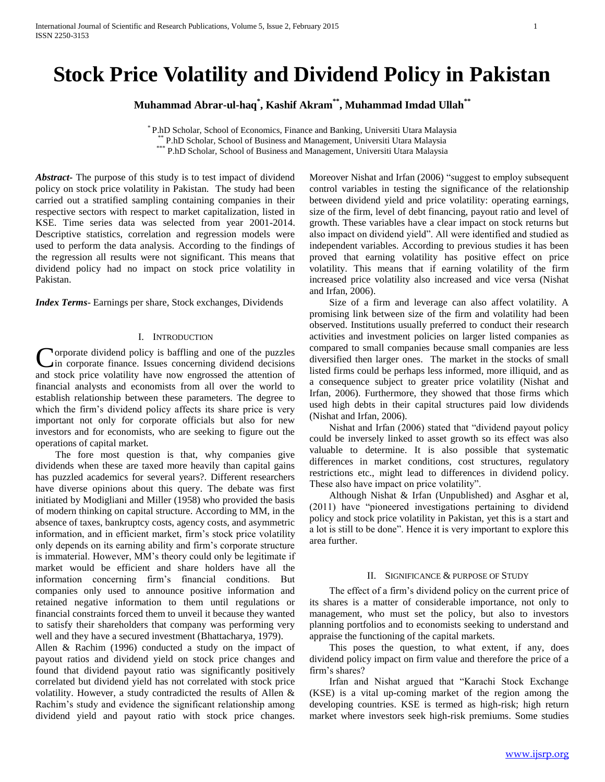# **Stock Price Volatility and Dividend Policy in Pakistan**

**Muhammad Abrar-ul-haq\* , Kashif Akram\*\* , Muhammad Imdad Ullah\*\***

\* P.hD Scholar, School of Economics, Finance and Banking, Universiti Utara Malaysia \*\* P.hD Scholar, School of Business and Management, Universiti Utara Malaysia \*\*\* P.hD Scholar, School of Business and Management, Universiti Utara Malaysia

*Abstract***-** The purpose of this study is to test impact of dividend policy on stock price volatility in Pakistan. The study had been carried out a stratified sampling containing companies in their respective sectors with respect to market capitalization, listed in KSE. Time series data was selected from year 2001-2014. Descriptive statistics, correlation and regression models were used to perform the data analysis. According to the findings of the regression all results were not significant. This means that dividend policy had no impact on stock price volatility in Pakistan.

*Index Terms*- Earnings per share, Stock exchanges, Dividends

# I. INTRODUCTION

Corporate dividend policy is baffling and one of the puzzles<br>in corporate finance. Issues concerning dividend decisions  $\lambda$ in corporate finance. Issues concerning dividend decisions and stock price volatility have now engrossed the attention of financial analysts and economists from all over the world to establish relationship between these parameters. The degree to which the firm's dividend policy affects its share price is very important not only for corporate officials but also for new investors and for economists, who are seeking to figure out the operations of capital market.

 The fore most question is that, why companies give dividends when these are taxed more heavily than capital gains has puzzled academics for several years?. Different researchers have diverse opinions about this query. The debate was first initiated by Modigliani and Miller (1958) who provided the basis of modern thinking on capital structure. According to MM, in the absence of taxes, bankruptcy costs, agency costs, and asymmetric information, and in efficient market, firm's stock price volatility only depends on its earning ability and firm's corporate structure is immaterial. However, MM's theory could only be legitimate if market would be efficient and share holders have all the information concerning firm's financial conditions. But companies only used to announce positive information and retained negative information to them until regulations or financial constraints forced them to unveil it because they wanted to satisfy their shareholders that company was performing very well and they have a secured investment (Bhattacharya, 1979).

Allen & Rachim (1996) conducted a study on the impact of payout ratios and dividend yield on stock price changes and found that dividend payout ratio was significantly positively correlated but dividend yield has not correlated with stock price volatility. However, a study contradicted the results of Allen & Rachim's study and evidence the significant relationship among dividend yield and payout ratio with stock price changes.

Moreover Nishat and Irfan (2006) "suggest to employ subsequent control variables in testing the significance of the relationship between dividend yield and price volatility: operating earnings, size of the firm, level of debt financing, payout ratio and level of growth. These variables have a clear impact on stock returns but also impact on dividend yield". All were identified and studied as independent variables. According to previous studies it has been proved that earning volatility has positive effect on price volatility. This means that if earning volatility of the firm increased price volatility also increased and vice versa (Nishat and Irfan, 2006).

 Size of a firm and leverage can also affect volatility. A promising link between size of the firm and volatility had been observed. Institutions usually preferred to conduct their research activities and investment policies on larger listed companies as compared to small companies because small companies are less diversified then larger ones. The market in the stocks of small listed firms could be perhaps less informed, more illiquid, and as a consequence subject to greater price volatility (Nishat and Irfan, 2006). Furthermore, they showed that those firms which used high debts in their capital structures paid low dividends (Nishat and Irfan, 2006).

 Nishat and Irfan (2006) stated that "dividend payout policy could be inversely linked to asset growth so its effect was also valuable to determine. It is also possible that systematic differences in market conditions, cost structures, regulatory restrictions etc., might lead to differences in dividend policy. These also have impact on price volatility".

 Although Nishat & Irfan (Unpublished) and Asghar et al, (2011) have "pioneered investigations pertaining to dividend policy and stock price volatility in Pakistan, yet this is a start and a lot is still to be done". Hence it is very important to explore this area further.

#### II. SIGNIFICANCE & PURPOSE OF STUDY

 The effect of a firm's dividend policy on the current price of its shares is a matter of considerable importance, not only to management, who must set the policy, but also to investors planning portfolios and to economists seeking to understand and appraise the functioning of the capital markets.

 This poses the question, to what extent, if any, does dividend policy impact on firm value and therefore the price of a firm's shares?

 Irfan and Nishat argued that "Karachi Stock Exchange (KSE) is a vital up-coming market of the region among the developing countries. KSE is termed as high-risk; high return market where investors seek high-risk premiums. Some studies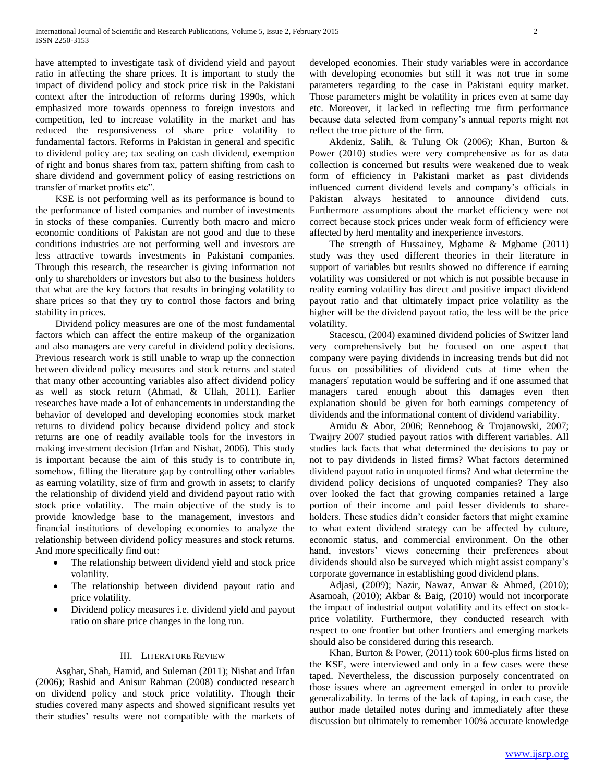have attempted to investigate task of dividend yield and payout ratio in affecting the share prices. It is important to study the impact of dividend policy and stock price risk in the Pakistani context after the introduction of reforms during 1990s, which emphasized more towards openness to foreign investors and competition, led to increase volatility in the market and has reduced the responsiveness of share price volatility to fundamental factors. Reforms in Pakistan in general and specific to dividend policy are; tax sealing on cash dividend, exemption of right and bonus shares from tax, pattern shifting from cash to share dividend and government policy of easing restrictions on transfer of market profits etc".

 KSE is not performing well as its performance is bound to the performance of listed companies and number of investments in stocks of these companies. Currently both macro and micro economic conditions of Pakistan are not good and due to these conditions industries are not performing well and investors are less attractive towards investments in Pakistani companies. Through this research, the researcher is giving information not only to shareholders or investors but also to the business holders that what are the key factors that results in bringing volatility to share prices so that they try to control those factors and bring stability in prices.

 Dividend policy measures are one of the most fundamental factors which can affect the entire makeup of the organization and also managers are very careful in dividend policy decisions. Previous research work is still unable to wrap up the connection between dividend policy measures and stock returns and stated that many other accounting variables also affect dividend policy as well as stock return (Ahmad, & Ullah, 2011). Earlier researches have made a lot of enhancements in understanding the behavior of developed and developing economies stock market returns to dividend policy because dividend policy and stock returns are one of readily available tools for the investors in making investment decision (Irfan and Nishat, 2006). This study is important because the aim of this study is to contribute in, somehow, filling the literature gap by controlling other variables as earning volatility, size of firm and growth in assets; to clarify the relationship of dividend yield and dividend payout ratio with stock price volatility. The main objective of the study is to provide knowledge base to the management, investors and financial institutions of developing economies to analyze the relationship between dividend policy measures and stock returns. And more specifically find out:

- The relationship between dividend yield and stock price volatility.
- The relationship between dividend payout ratio and price volatility.
- Dividend policy measures i.e. dividend yield and payout ratio on share price changes in the long run.

# III. LITERATURE REVIEW

 Asghar, Shah, Hamid, and Suleman (2011); Nishat and Irfan (2006); Rashid and Anisur Rahman (2008) conducted research on dividend policy and stock price volatility. Though their studies covered many aspects and showed significant results yet their studies' results were not compatible with the markets of developed economies. Their study variables were in accordance with developing economies but still it was not true in some parameters regarding to the case in Pakistani equity market. Those parameters might be volatility in prices even at same day etc. Moreover, it lacked in reflecting true firm performance because data selected from company's annual reports might not reflect the true picture of the firm.

 Akdeniz, Salih, & Tulung Ok (2006); Khan, Burton & Power (2010) studies were very comprehensive as for as data collection is concerned but results were weakened due to weak form of efficiency in Pakistani market as past dividends influenced current dividend levels and company's officials in Pakistan always hesitated to announce dividend cuts. Furthermore assumptions about the market efficiency were not correct because stock prices under weak form of efficiency were affected by herd mentality and inexperience investors.

 The strength of Hussainey, Mgbame & Mgbame (2011) study was they used different theories in their literature in support of variables but results showed no difference if earning volatility was considered or not which is not possible because in reality earning volatility has direct and positive impact dividend payout ratio and that ultimately impact price volatility as the higher will be the dividend payout ratio, the less will be the price volatility.

 Stacescu, (2004) examined dividend policies of Switzer land very comprehensively but he focused on one aspect that company were paying dividends in increasing trends but did not focus on possibilities of dividend cuts at time when the managers' reputation would be suffering and if one assumed that managers cared enough about this damages even then explanation should be given for both earnings competency of dividends and the informational content of dividend variability.

 Amidu & Abor, 2006; Renneboog & Trojanowski, 2007; Twaijry 2007 studied payout ratios with different variables. All studies lack facts that what determined the decisions to pay or not to pay dividends in listed firms? What factors determined dividend payout ratio in unquoted firms? And what determine the dividend policy decisions of unquoted companies? They also over looked the fact that growing companies retained a large portion of their income and paid lesser dividends to shareholders. These studies didn't consider factors that might examine to what extent dividend strategy can be affected by culture, economic status, and commercial environment. On the other hand, investors' views concerning their preferences about dividends should also be surveyed which might assist company's corporate governance in establishing good dividend plans.

 Adjasi, (2009); Nazir, Nawaz, Anwar & Ahmed, (2010); Asamoah, (2010); Akbar & Baig, (2010) would not incorporate the impact of industrial output volatility and its effect on stockprice volatility. Furthermore, they conducted research with respect to one frontier but other frontiers and emerging markets should also be considered during this research.

 Khan, Burton & Power, (2011) took 600-plus firms listed on the KSE, were interviewed and only in a few cases were these taped. Nevertheless, the discussion purposely concentrated on those issues where an agreement emerged in order to provide generalizability. In terms of the lack of taping, in each case, the author made detailed notes during and immediately after these discussion but ultimately to remember 100% accurate knowledge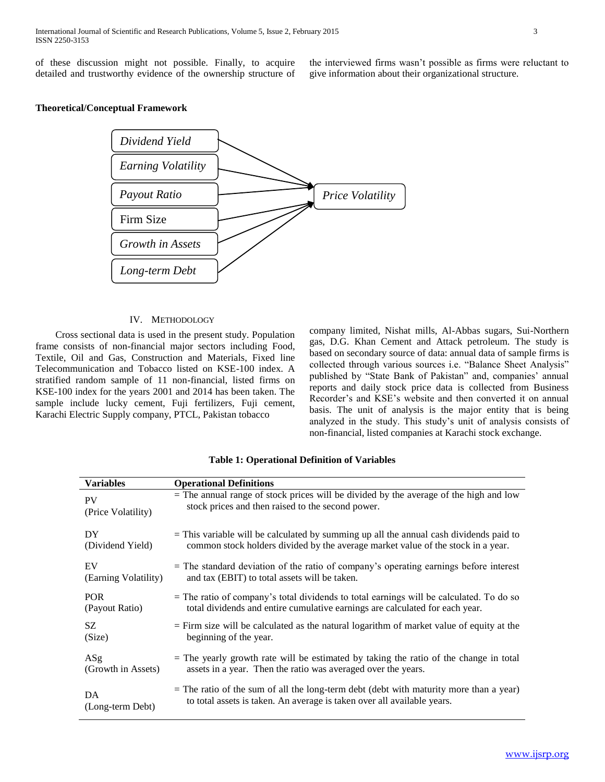of these discussion might not possible. Finally, to acquire detailed and trustworthy evidence of the ownership structure of the interviewed firms wasn't possible as firms were reluctant to give information about their organizational structure.

# **Theoretical/Conceptual Framework**



#### IV. METHODOLOGY

 Cross sectional data is used in the present study. Population frame consists of non-financial major sectors including Food, Textile, Oil and Gas, Construction and Materials, Fixed line Telecommunication and Tobacco listed on KSE-100 index. A stratified random sample of 11 non-financial, listed firms on KSE-100 index for the years 2001 and 2014 has been taken. The sample include lucky cement, Fuji fertilizers, Fuji cement, Karachi Electric Supply company, PTCL, Pakistan tobacco

company limited, Nishat mills, Al-Abbas sugars, Sui-Northern gas, D.G. Khan Cement and Attack petroleum. The study is based on secondary source of data: annual data of sample firms is collected through various sources i.e. "Balance Sheet Analysis" published by "State Bank of Pakistan" and, companies' annual reports and daily stock price data is collected from Business Recorder's and KSE's website and then converted it on annual basis. The unit of analysis is the major entity that is being analyzed in the study. This study's unit of analysis consists of non-financial, listed companies at Karachi stock exchange.

| <b>Variables</b>     | <b>Operational Definitions</b>                                                             |
|----------------------|--------------------------------------------------------------------------------------------|
| <b>PV</b>            | $=$ The annual range of stock prices will be divided by the average of the high and low    |
| (Price Volatility)   | stock prices and then raised to the second power.                                          |
| DY                   | $=$ This variable will be calculated by summing up all the annual cash dividends paid to   |
| (Dividend Yield)     | common stock holders divided by the average market value of the stock in a year.           |
| EV                   | $=$ The standard deviation of the ratio of company's operating earnings before interest    |
| (Earning Volatility) | and tax (EBIT) to total assets will be taken.                                              |
| <b>POR</b>           | $=$ The ratio of company's total dividends to total earnings will be calculated. To do so  |
| (Payout Ratio)       | total dividends and entire cumulative earnings are calculated for each year.               |
| SZ                   | $=$ Firm size will be calculated as the natural logarithm of market value of equity at the |
| (Size)               | beginning of the year.                                                                     |
| ASg                  | $=$ The yearly growth rate will be estimated by taking the ratio of the change in total    |
| (Growth in Assets)   | assets in a year. Then the ratio was averaged over the years.                              |
| DA                   | $=$ The ratio of the sum of all the long-term debt (debt with maturity more than a year)   |
| (Long-term Debt)     | to total assets is taken. An average is taken over all available years.                    |

### **Table 1: Operational Definition of Variables**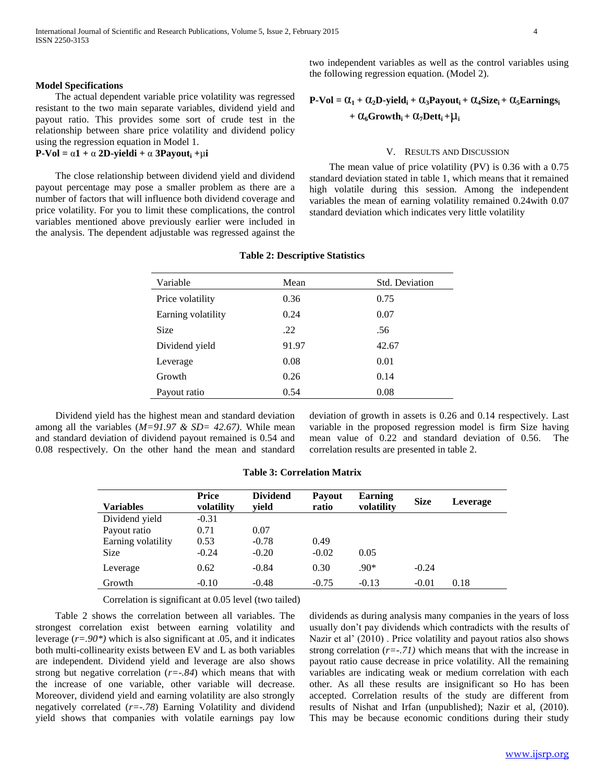two independent variables as well as the control variables using the following regression equation. (Model 2).

### **Model Specifications**

 The actual dependent variable price volatility was regressed resistant to the two main separate variables, dividend yield and payout ratio. This provides some sort of crude test in the relationship between share price volatility and dividend policy using the regression equation in Model 1.

#### **P-Vol** =  $\alpha$ **1** +  $\alpha$  **2D-yieldi** +  $\alpha$  **3Payout**<sub>i</sub> + $\mu$ **i**

 The close relationship between dividend yield and dividend payout percentage may pose a smaller problem as there are a number of factors that will influence both dividend coverage and price volatility. For you to limit these complications, the control variables mentioned above previously earlier were included in the analysis. The dependent adjustable was regressed against the

$$
P\text{-Vol} = \alpha_1 + \alpha_2 D\text{-yield}_i + \alpha_3 Payout_i + \alpha_4 Size_i + \alpha_5Earning_i
$$

$$
+ \alpha_6 Growth_i + \alpha_7 Dett_i + \mu_i
$$

#### V. RESULTS AND DISCUSSION

 The mean value of price volatility (PV) is 0.36 with a 0.75 standard deviation stated in table 1, which means that it remained high volatile during this session. Among the independent variables the mean of earning volatility remained 0.24with 0.07 standard deviation which indicates very little volatility

| Variable           | Mean  | Std. Deviation |
|--------------------|-------|----------------|
| Price volatility   | 0.36  | 0.75           |
| Earning volatility | 0.24  | 0.07           |
| Size               | .22   | .56            |
| Dividend yield     | 91.97 | 42.67          |
| Leverage           | 0.08  | 0.01           |
| Growth             | 0.26  | 0.14           |
| Payout ratio       | 0.54  | 0.08           |

#### **Table 2: Descriptive Statistics**

 Dividend yield has the highest mean and standard deviation among all the variables (*M=91.97 & SD= 42.67)*. While mean and standard deviation of dividend payout remained is 0.54 and 0.08 respectively. On the other hand the mean and standard

deviation of growth in assets is 0.26 and 0.14 respectively. Last variable in the proposed regression model is firm Size having mean value of 0.22 and standard deviation of 0.56. The correlation results are presented in table 2.

# **Table 3: Correlation Matrix**

| <b>Variables</b>   | <b>Price</b><br>volatility | <b>Dividend</b><br>vield | <b>Payout</b><br>ratio | <b>Earning</b><br>volatility | <b>Size</b> | Leverage |
|--------------------|----------------------------|--------------------------|------------------------|------------------------------|-------------|----------|
| Dividend yield     | $-0.31$                    |                          |                        |                              |             |          |
| Payout ratio       | 0.71                       | 0.07                     |                        |                              |             |          |
| Earning volatility | 0.53                       | $-0.78$                  | 0.49                   |                              |             |          |
| <b>Size</b>        | $-0.24$                    | $-0.20$                  | $-0.02$                | 0.05                         |             |          |
| Leverage           | 0.62                       | $-0.84$                  | 0.30                   | $.90*$                       | $-0.24$     |          |
| Growth             | $-0.10$                    | $-0.48$                  | $-0.75$                | $-0.13$                      | $-0.01$     | 0.18     |

Correlation is significant at 0.05 level (two tailed)

 Table 2 shows the correlation between all variables. The strongest correlation exist between earning volatility and leverage (*r=.90\*)* which is also significant at .05, and it indicates both multi-collinearity exists between EV and L as both variables are independent. Dividend yield and leverage are also shows strong but negative correlation (*r=-.84*) which means that with the increase of one variable, other variable will decrease. Moreover, dividend yield and earning volatility are also strongly negatively correlated (*r=-.78*) Earning Volatility and dividend yield shows that companies with volatile earnings pay low

dividends as during analysis many companies in the years of loss usually don't pay dividends which contradicts with the results of Nazir et al' (2010) . Price volatility and payout ratios also shows strong correlation (*r=-.71)* which means that with the increase in payout ratio cause decrease in price volatility. All the remaining variables are indicating weak or medium correlation with each other. As all these results are insignificant so Ho has been accepted. Correlation results of the study are different from results of Nishat and Irfan (unpublished); Nazir et al, (2010). This may be because economic conditions during their study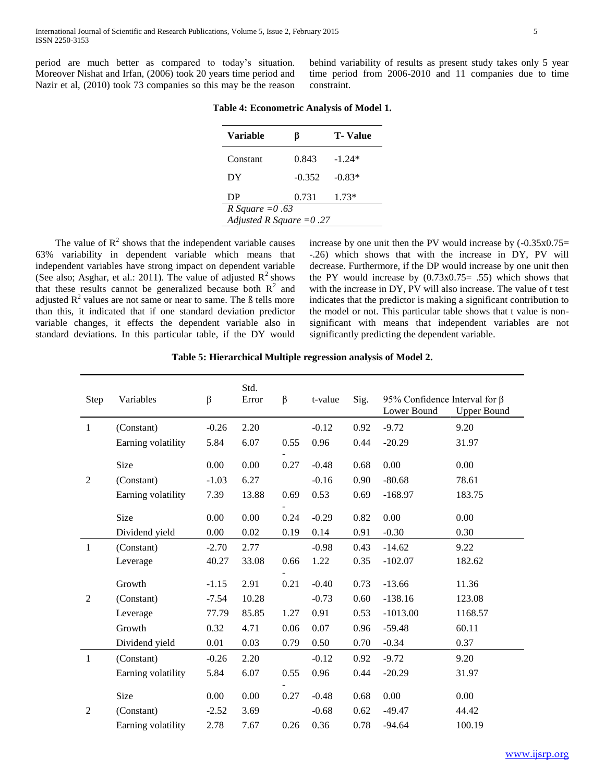period are much better as compared to today's situation. Moreover Nishat and Irfan, (2006) took 20 years time period and Nazir et al, (2010) took 73 companies so this may be the reason behind variability of results as present study takes only 5 year time period from 2006-2010 and 11 companies due to time constraint.

| <b>Variable</b>           | B        | <b>T</b> -Value |  |  |  |  |
|---------------------------|----------|-----------------|--|--|--|--|
| Constant                  | 0.843    | $-1.24*$        |  |  |  |  |
| DY                        | $-0.352$ | $-0.83*$        |  |  |  |  |
| DP                        | 0.731    | $1.73*$         |  |  |  |  |
| R Square $=0.63$          |          |                 |  |  |  |  |
| Adjusted R Square $=0.27$ |          |                 |  |  |  |  |

**Table 4: Econometric Analysis of Model 1.**

The value of  $R<sup>2</sup>$  shows that the independent variable causes 63% variability in dependent variable which means that independent variables have strong impact on dependent variable (See also; Asghar, et al.: 2011). The value of adjusted  $R^2$  shows that these results cannot be generalized because both  $R<sup>2</sup>$  and adjusted  $R^2$  values are not same or near to same. The  $\beta$  tells more than this, it indicated that if one standard deviation predictor variable changes, it effects the dependent variable also in standard deviations. In this particular table, if the DY would

increase by one unit then the PV would increase by  $(-0.35 \times 0.75=$ -.26) which shows that with the increase in DY, PV will decrease. Furthermore, if the DP would increase by one unit then the PY would increase by  $(0.73x0.75= .55)$  which shows that with the increase in DY, PV will also increase. The value of t test indicates that the predictor is making a significant contribution to the model or not. This particular table shows that t value is nonsignificant with means that independent variables are not significantly predicting the dependent variable.

**Table 5: Hierarchical Multiple regression analysis of Model 2.**

| Step           | Variables          | $\beta$ | Std.<br>Error | $\beta$ | t-value | Sig. | 95% Confidence Interval for $\beta$<br>Lower Bound | <b>Upper Bound</b> |
|----------------|--------------------|---------|---------------|---------|---------|------|----------------------------------------------------|--------------------|
| $\mathbf{1}$   | (Constant)         | $-0.26$ | 2.20          |         | $-0.12$ | 0.92 | $-9.72$                                            | 9.20               |
|                | Earning volatility | 5.84    | 6.07          | 0.55    | 0.96    | 0.44 | $-20.29$                                           | 31.97              |
|                | Size               | 0.00    | 0.00          | 0.27    | $-0.48$ | 0.68 | 0.00                                               | 0.00               |
| $\overline{2}$ | (Constant)         | $-1.03$ | 6.27          |         | $-0.16$ | 0.90 | $-80.68$                                           | 78.61              |
|                | Earning volatility | 7.39    | 13.88         | 0.69    | 0.53    | 0.69 | $-168.97$                                          | 183.75             |
|                | Size               | 0.00    | 0.00          | 0.24    | $-0.29$ | 0.82 | 0.00                                               | 0.00               |
|                | Dividend yield     | 0.00    | 0.02          | 0.19    | 0.14    | 0.91 | $-0.30$                                            | 0.30               |
| $\mathbf{1}$   | (Constant)         | $-2.70$ | 2.77          |         | $-0.98$ | 0.43 | $-14.62$                                           | 9.22               |
|                | Leverage           | 40.27   | 33.08         | 0.66    | 1.22    | 0.35 | $-102.07$                                          | 182.62             |
|                |                    |         |               |         |         |      |                                                    |                    |
|                | Growth             | $-1.15$ | 2.91          | 0.21    | $-0.40$ | 0.73 | $-13.66$                                           | 11.36              |
| $\overline{2}$ | (Constant)         | $-7.54$ | 10.28         |         | $-0.73$ | 0.60 | $-138.16$                                          | 123.08             |
|                | Leverage           | 77.79   | 85.85         | 1.27    | 0.91    | 0.53 | $-1013.00$                                         | 1168.57            |
|                | Growth             | 0.32    | 4.71          | 0.06    | 0.07    | 0.96 | $-59.48$                                           | 60.11              |
|                | Dividend yield     | 0.01    | 0.03          | 0.79    | 0.50    | 0.70 | $-0.34$                                            | 0.37               |
| $\mathbf{1}$   | (Constant)         | $-0.26$ | 2.20          |         | $-0.12$ | 0.92 | $-9.72$                                            | 9.20               |
|                | Earning volatility | 5.84    | 6.07          | 0.55    | 0.96    | 0.44 | $-20.29$                                           | 31.97              |
|                | Size               | 0.00    | 0.00          | 0.27    | $-0.48$ | 0.68 | 0.00                                               | 0.00               |
| $\overline{2}$ | (Constant)         | $-2.52$ | 3.69          |         | $-0.68$ | 0.62 | $-49.47$                                           | 44.42              |
|                |                    |         |               |         |         |      |                                                    |                    |
|                | Earning volatility | 2.78    | 7.67          | 0.26    | 0.36    | 0.78 | $-94.64$                                           | 100.19             |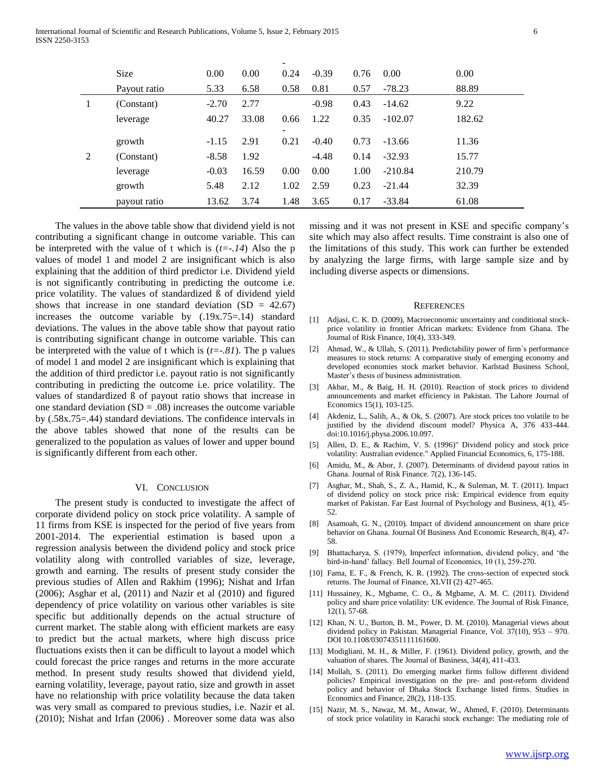|   |              |         |       | -                        |         |      |           |        |
|---|--------------|---------|-------|--------------------------|---------|------|-----------|--------|
|   | <b>Size</b>  | 0.00    | 0.00  | 0.24                     | $-0.39$ | 0.76 | 0.00      | 0.00   |
|   | Payout ratio | 5.33    | 6.58  | 0.58                     | 0.81    | 0.57 | $-78.23$  | 88.89  |
| 1 | (Constant)   | $-2.70$ | 2.77  |                          | $-0.98$ | 0.43 | $-14.62$  | 9.22   |
|   | leverage     | 40.27   | 33.08 | 0.66                     | 1.22    | 0.35 | $-102.07$ | 182.62 |
|   |              |         |       | $\overline{\phantom{0}}$ |         |      |           |        |
|   | growth       | $-1.15$ | 2.91  | 0.21                     | $-0.40$ | 0.73 | $-13.66$  | 11.36  |
| 2 | (Constant)   | $-8.58$ | 1.92  |                          | $-4.48$ | 0.14 | $-32.93$  | 15.77  |
|   | leverage     | $-0.03$ | 16.59 | 0.00                     | 0.00    | 1.00 | $-210.84$ | 210.79 |
|   | growth       | 5.48    | 2.12  | 1.02                     | 2.59    | 0.23 | $-21.44$  | 32.39  |
|   | payout ratio | 13.62   | 3.74  | 1.48                     | 3.65    | 0.17 | $-33.84$  | 61.08  |

 The values in the above table show that dividend yield is not contributing a significant change in outcome variable. This can be interpreted with the value of t which is  $(t=-.14)$  Also the p values of model 1 and model 2 are insignificant which is also explaining that the addition of third predictor i.e. Dividend yield is not significantly contributing in predicting the outcome i.e. price volatility. The values of standardized ß of dividend yield shows that increase in one standard deviation  $(SD = 42.67)$ increases the outcome variable by (.19x.75=.14) standard deviations. The values in the above table show that payout ratio is contributing significant change in outcome variable. This can be interpreted with the value of t which is (*t=-.81*). The p values of model 1 and model 2 are insignificant which is explaining that the addition of third predictor i.e. payout ratio is not significantly contributing in predicting the outcome i.e. price volatility. The values of standardized ß of payout ratio shows that increase in one standard deviation  $(SD = .08)$  increases the outcome variable by (.58x.75=.44) standard deviations. The confidence intervals in the above tables showed that none of the results can be generalized to the population as values of lower and upper bound is significantly different from each other.

#### VI. CONCLUSION

 The present study is conducted to investigate the affect of corporate dividend policy on stock price volatility. A sample of 11 firms from KSE is inspected for the period of five years from 2001-2014. The experiential estimation is based upon a regression analysis between the dividend policy and stock price volatility along with controlled variables of size, leverage, growth and earning. The results of present study consider the previous studies of Allen and Rakhim (1996); Nishat and Irfan (2006); Asghar et al, (2011) and Nazir et al (2010) and figured dependency of price volatility on various other variables is site specific but additionally depends on the actual structure of current market. The stable along with efficient markets are easy to predict but the actual markets, where high discuss price fluctuations exists then it can be difficult to layout a model which could forecast the price ranges and returns in the more accurate method. In present study results showed that dividend yield, earning volatility, leverage, payout ratio, size and growth in asset have no relationship with price volatility because the data taken was very small as compared to previous studies, i.e. Nazir et al. (2010); Nishat and Irfan (2006) . Moreover some data was also

missing and it was not present in KSE and specific company's site which may also affect results. Time constraint is also one of the limitations of this study. This work can further be extended by analyzing the large firms, with large sample size and by including diverse aspects or dimensions.

#### **REFERENCES**

- [1] Adjasi, C. K. D. (2009), Macroeconomic uncertainty and conditional stockprice volatility in frontier African markets: Evidence from Ghana. The Journal of Risk Finance, 10(4), 333-349.
- [2] Ahmad, W., & Ullah, S. (2011). Predictability power of firm´s performance measures to stock returns: A comparative study of emerging economy and developed economies stock market behavior. Karlstad Business School, Master's thesis of business administration.
- [3] Akbar, M., & Baig, H. H. (2010). Reaction of stock prices to dividend announcements and market efficiency in Pakistan. The Lahore Journal of Economics 15(1), 103-125.
- [4] Akdeniz, L., Salih, A., & Ok, S. (2007). Are stock prices too volatile to be justified by the dividend discount model? Physica A, 376 433-444. doi:10.1016/j.physa.2006.10.097.
- [5] Allen, D. E., & Rachim, V. S. (1996)" Dividend policy and stock price volatility: Australian evidence." Applied Financial Economics, 6, 175-188.
- [6] Amidu, M., & Abor, J. (2007). Determinants of dividend payout ratios in Ghana. Journal of Risk Finance. 7(2), 136-145.
- [7] Asghar, M., Shah, S., Z. A., Hamid, K., & Suleman, M. T. (2011). Impact of dividend policy on stock price risk: Empirical evidence from equity market of Pakistan. Far East Journal of Psychology and Business, 4(1), 45- 52.
- [8] Asamoah, G. N., (2010). Impact of dividend announcement on share price behavior on Ghana. Journal Of Business And Economic Research, 8(4), 47- 58.
- [9] Bhattacharya, S. (1979), Imperfect information, dividend policy, and 'the bird-in-hand' fallacy. Bell Journal of Economics, 10 (1), 259-270.
- [10] Fama, E. F., & French, K. R. (1992). The cross-section of expected stock returns. The Journal of Finance, XLVII (2) 427-465.
- [11] Hussainey, K., Mgbame, C. O., & Mgbame, A. M. C. (2011). Dividend policy and share price volatility: UK evidence. The Journal of Risk Finance, 12(1), 57-68.
- [12] Khan, N. U., Burton, B. M., Power, D. M. (2010). Managerial views about dividend policy in Pakistan. Managerial Finance, Vol. 37(10), 953 – 970. DOI 10.1108/03074351111161600.
- [13] Modigliani, M. H., & Miller, F. (1961). Dividend policy, growth, and the valuation of shares. The Journal of Business, 34(4), 411-433.
- [14] Mollah, S. (2011). Do emerging market firms follow different dividend policies? Empirical investigation on the pre- and post-reform dividend policy and behavior of Dhaka Stock Exchange listed firms. Studies in Economics and Finance, 28(2), 118-135.
- [15] Nazir, M. S., Nawaz, M. M., Anwar, W., Ahmed, F. (2010). Determinants of stock price volatility in Karachi stock exchange: The mediating role of